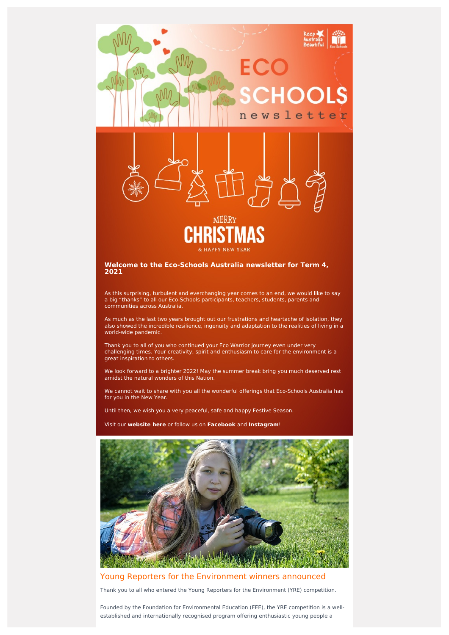



### **Welcome to the Eco-Schools Australia newsletter for Term 4, 2021**

As this surprising, turbulent and everchanging year comes to an end, we would like to say a big "thanks" to all our Eco-Schools participants, teachers, students, parents and communities across Australia.

As much as the last two years brought out our frustrations and heartache of isolation, they also showed the incredible resilience, ingenuity and adaptation to the realities of living in a world-wide pandemic.

Thank you to all of you who continued your Eco Warrior journey even under very challenging times. Your creativity, spirit and enthusiasm to care for the environment is a great inspiration to others.

We look forward to a brighter 2022! May the summer break bring you much deserved rest amidst the natural wonders of this Nation.

We cannot wait to share with you all the wonderful offerings that Eco-Schools Australia has for you in the New Year.

Until then, we wish you a very peaceful, safe and happy Festive Season.

Visit our **[website](http://www.eco-schools.org.au/) here** or follow us on **[Facebook](https://www.facebook.com/ecoschoolsaustralia/)** and **[Instagram](https://www.instagram.com/ecoschoolsaustralia/?hl=en)**!



# Young Reporters for the Environment winners announced

Thank you to all who entered the Young Reporters for the Environment (YRE) competition.

Founded by the Foundation for Environmental Education (FEE), the YRE competition is a wellestablished and internationally recognised program offering enthusiastic young people a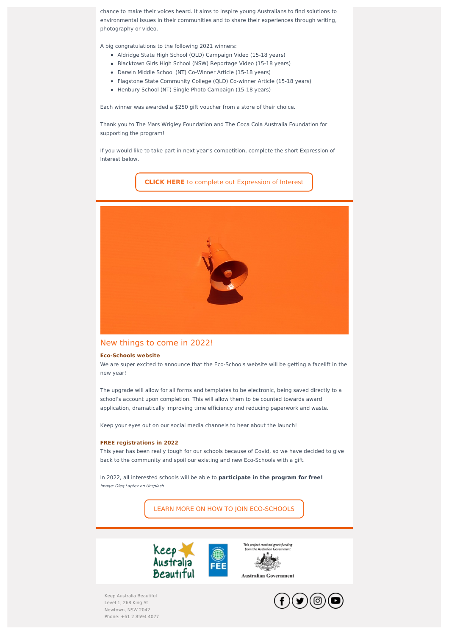chance to make their voices heard. It aims to inspire young Australians to find solutions to environmental issues in their communities and to share their experiences through writing, photography or video.

A big congratulations to the following 2021 winners:

- Aldridge State High School (QLD) Campaign Video (15-18 years)
- Blacktown Girls High School (NSW) Reportage Video (15-18 years)
- Darwin Middle School (NT) Co-Winner Article (15-18 years)
- Flagstone State Community College (QLD) Co-winner Article (15-18 years)
- Henbury School (NT) Single Photo Campaign (15-18 years)

Each winner was awarded a \$250 gift voucher from a store of their choice.

Thank you to The Mars Wrigley Foundation and The Coca Cola Australia Foundation for supporting the program!

If you would like to take part in next year's competition, complete the short Expression of Interest below.

**CLICK HERE** to complete out [Expression](https://eco-schools.org.au/2022-yre-expression-interest) of Interest



## New things to come in 2022!

## **Eco-Schools website**

We are super excited to announce that the Eco-Schools website will be getting a facelift in the new year!

The upgrade will allow for all forms and templates to be electronic, being saved directly to a school's account upon completion. This will allow them to be counted towards award application, dramatically improving time efficiency and reducing paperwork and waste.

Keep your eyes out on our social media channels to hear about the launch!

## **FREE registrations in 2022**

This year has been really tough for our schools because of Covid, so we have decided to give back to the community and spoil our existing and new Eco-Schools with a gift.

In 2022, all interested schools will be able to **participate in the program for free!** Image: Oleg Laptev on Unsplash

LEARN MORE ON HOW TO JOIN [ECO-SCHOOLS](https://www.eco-schools.org.au/)





**Australian Government** 

Keep Australia Beautiful Level 1, 268 King St Newtown, NSW 2042 Phone: +61 2 8594 4077